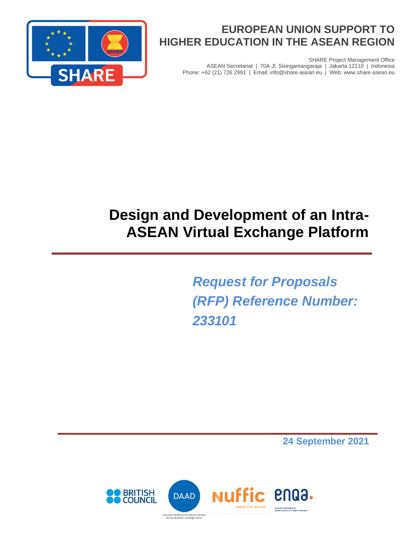

# **EUROPEAN UNION SUPPORT TO HIGHER EDUCATION IN THE ASEAN REGION**

ASEAN Secretariat | 70A Jl. Sisingamangaraja | Jakarta 12110 | Indonesia Phone: +62 (21) 726 2991 | Email: info@share-asean.eu | Web: www.share-asean.eu

SHARE Project Management Office

# **Design and Development of an Intra-ASEAN Virtual Exchange Platform**

*Request for Proposals (RFP) Reference Number: 233101*

**24 September 2021**

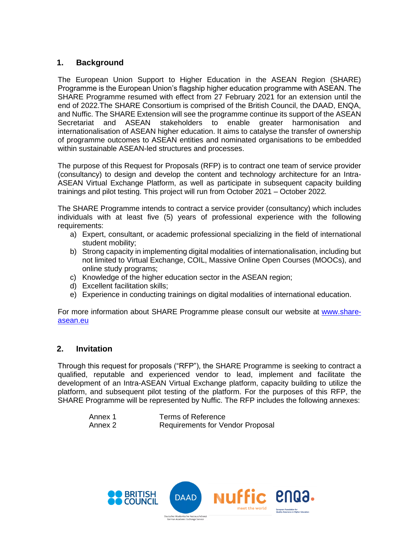#### **1. Background**

The European Union Support to Higher Education in the ASEAN Region (SHARE) Programme is the European Union's flagship higher education programme with ASEAN. The SHARE Programme resumed with effect from 27 February 2021 for an extension until the end of 2022.The SHARE Consortium is comprised of the British Council, the DAAD, ENQA, and Nuffic. The SHARE Extension will see the programme continue its support of the ASEAN Secretariat and ASEAN stakeholders to enable greater harmonisation and internationalisation of ASEAN higher education. It aims to catalyse the transfer of ownership of programme outcomes to ASEAN entities and nominated organisations to be embedded within sustainable ASEAN-led structures and processes.

The purpose of this Request for Proposals (RFP) is to contract one team of service provider (consultancy) to design and develop the content and technology architecture for an Intra-ASEAN Virtual Exchange Platform, as well as participate in subsequent capacity building trainings and pilot testing. This project will run from October 2021 – October 2022*.*

The SHARE Programme intends to contract a service provider (consultancy) which includes individuals with at least five (5) years of professional experience with the following requirements:

- a) Expert, consultant, or academic professional specializing in the field of international student mobility;
- b) Strong capacity in implementing digital modalities of internationalisation, including but not limited to Virtual Exchange, COIL, Massive Online Open Courses (MOOCs), and online study programs;
- c) Knowledge of the higher education sector in the ASEAN region;
- d) Excellent facilitation skills;
- e) Experience in conducting trainings on digital modalities of international education.

For more information about SHARE Programme please consult our website at [www.share](https://www.share-asean.eu/)[asean.eu](https://www.share-asean.eu/)

#### **2. Invitation**

Through this request for proposals ("RFP"), the SHARE Programme is seeking to contract a qualified, reputable and experienced vendor to lead, implement and facilitate the development of an Intra-ASEAN Virtual Exchange platform, capacity building to utilize the platform, and subsequent pilot testing of the platform. For the purposes of this RFP, the SHARE Programme will be represented by Nuffic. The RFP includes the following annexes:

| Annex 1 | <b>Terms of Reference</b>               |
|---------|-----------------------------------------|
| Annex 2 | <b>Requirements for Vendor Proposal</b> |

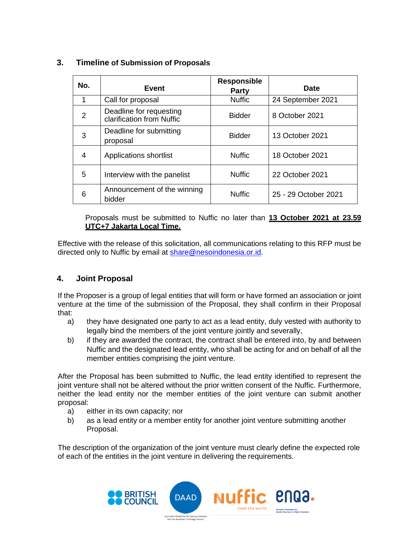| No.            | Event                                                | <b>Responsible</b><br><b>Party</b> | Date                 |
|----------------|------------------------------------------------------|------------------------------------|----------------------|
| 1              | Call for proposal                                    | <b>Nuffic</b>                      | 24 September 2021    |
| $\mathfrak{p}$ | Deadline for requesting<br>clarification from Nuffic | <b>Bidder</b>                      | 8 October 2021       |
| 3              | Deadline for submitting<br>proposal                  | <b>Bidder</b>                      | 13 October 2021      |
| 4              | Applications shortlist                               | <b>Nuffic</b>                      | 18 October 2021      |
| 5              | Interview with the panelist                          | <b>Nuffic</b>                      | 22 October 2021      |
| 6              | Announcement of the winning<br>bidder                | <b>Nuffic</b>                      | 25 - 29 October 2021 |

#### **3. Timeline of Submission of Proposals**

Proposals must be submitted to Nuffic no later than **13 October 2021 at 23.59 UTC+7 Jakarta Local Time.**

Effective with the release of this solicitation, all communications relating to this RFP must be directed only to Nuffic by email at [share@nesoindonesia.or.id.](mailto:share@nesoindonesia.or.id)

#### **4. Joint Proposal**

If the Proposer is a group of legal entities that will form or have formed an association or joint venture at the time of the submission of the Proposal, they shall confirm in their Proposal that:

- a) they have designated one party to act as a lead entity, duly vested with authority to legally bind the members of the joint venture jointly and severally,
- b) if they are awarded the contract, the contract shall be entered into, by and between Nuffic and the designated lead entity, who shall be acting for and on behalf of all the member entities comprising the joint venture.

After the Proposal has been submitted to Nuffic, the lead entity identified to represent the joint venture shall not be altered without the prior written consent of the Nuffic. Furthermore, neither the lead entity nor the member entities of the joint venture can submit another proposal:

- a) either in its own capacity; nor
- b) as a lead entity or a member entity for another joint venture submitting another Proposal.

The description of the organization of the joint venture must clearly define the expected role of each of the entities in the joint venture in delivering the requirements.

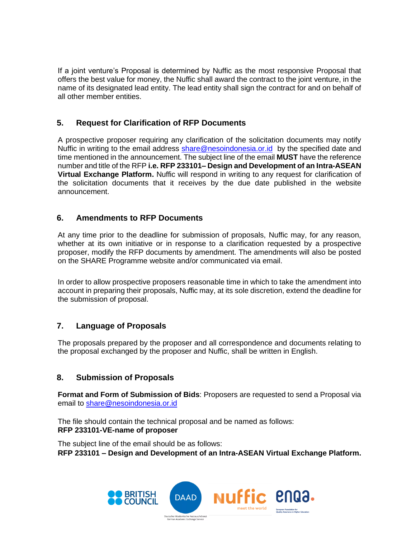If a joint venture's Proposal is determined by Nuffic as the most responsive Proposal that offers the best value for money, the Nuffic shall award the contract to the joint venture, in the name of its designated lead entity. The lead entity shall sign the contract for and on behalf of all other member entities.

## **5. Request for Clarification of RFP Documents**

A prospective proposer requiring any clarification of the solicitation documents may notify Nuffic in writing to the email address [share@nesoindonesia.or.id](mailto:share@nesoindonesia.or.id) by the specified date and time mentioned in the announcement. The subject line of the email **MUST** have the reference number and title of the RFP **i.e. RFP 233101– Design and Development of an Intra-ASEAN Virtual Exchange Platform.** Nuffic will respond in writing to any request for clarification of the solicitation documents that it receives by the due date published in the website announcement.

#### **6. Amendments to RFP Documents**

At any time prior to the deadline for submission of proposals, Nuffic may, for any reason, whether at its own initiative or in response to a clarification requested by a prospective proposer, modify the RFP documents by amendment. The amendments will also be posted on the SHARE Programme website and/or communicated via email.

In order to allow prospective proposers reasonable time in which to take the amendment into account in preparing their proposals, Nuffic may, at its sole discretion, extend the deadline for the submission of proposal.

#### **7. Language of Proposals**

The proposals prepared by the proposer and all correspondence and documents relating to the proposal exchanged by the proposer and Nuffic, shall be written in English.

#### **8. Submission of Proposals**

**Format and Form of Submission of Bids**: Proposers are requested to send a Proposal via email to [share@nesoindonesia.or.id](mailto:share@nesoindonesia.or.id)

The file should contain the technical proposal and be named as follows: **RFP 233101-VE-name of proposer**

The subject line of the email should be as follows:

**RFP 233101 – Design and Development of an Intra-ASEAN Virtual Exchange Platform.**

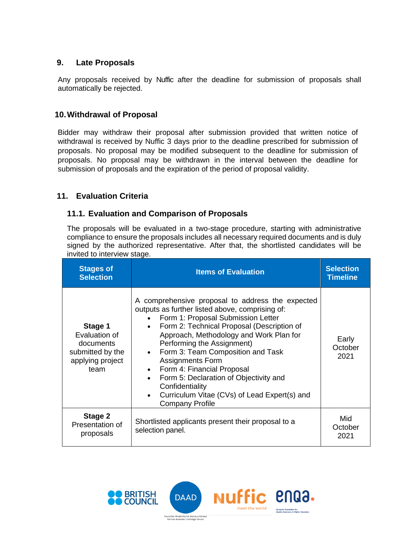#### **9. Late Proposals**

Any proposals received by Nuffic after the deadline for submission of proposals shall automatically be rejected.

#### **10.Withdrawal of Proposal**

Bidder may withdraw their proposal after submission provided that written notice of withdrawal is received by Nuffic 3 days prior to the deadline prescribed for submission of proposals. No proposal may be modified subsequent to the deadline for submission of proposals. No proposal may be withdrawn in the interval between the deadline for submission of proposals and the expiration of the period of proposal validity.

#### **11. Evaluation Criteria**

#### **11.1. Evaluation and Comparison of Proposals**

The proposals will be evaluated in a two-stage procedure, starting with administrative compliance to ensure the proposals includes all necessary required documents and is duly signed by the authorized representative. After that, the shortlisted candidates will be invited to interview stage.

| <b>Stages of</b><br><b>Selection</b>                                                  | <b>Items of Evaluation</b>                                                                                                                                                                                                                                                                                                                                                                                                                                                                              | <b>Selection</b><br><b>Timeline</b> |
|---------------------------------------------------------------------------------------|---------------------------------------------------------------------------------------------------------------------------------------------------------------------------------------------------------------------------------------------------------------------------------------------------------------------------------------------------------------------------------------------------------------------------------------------------------------------------------------------------------|-------------------------------------|
| Stage 1<br>Evaluation of<br>documents<br>submitted by the<br>applying project<br>team | A comprehensive proposal to address the expected<br>outputs as further listed above, comprising of:<br>Form 1: Proposal Submission Letter<br>Form 2: Technical Proposal (Description of<br>Approach, Methodology and Work Plan for<br>Performing the Assignment)<br>Form 3: Team Composition and Task<br><b>Assignments Form</b><br>• Form 4: Financial Proposal<br>Form 5: Declaration of Objectivity and<br>Confidentiality<br>Curriculum Vitae (CVs) of Lead Expert(s) and<br><b>Company Profile</b> | Early<br>October<br>2021            |
| Stage 2<br>Presentation of<br>proposals                                               | Shortlisted applicants present their proposal to a<br>selection panel.                                                                                                                                                                                                                                                                                                                                                                                                                                  | Mid<br>October<br>2021              |

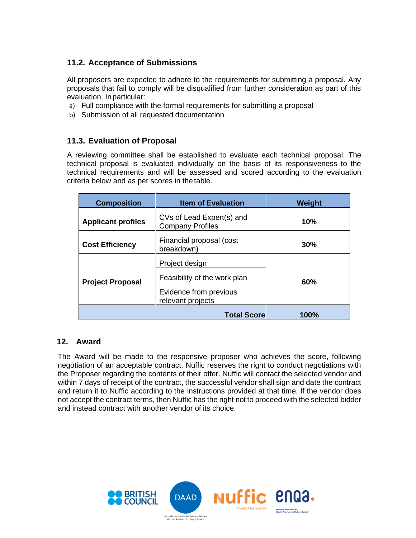# **11.2. Acceptance of Submissions**

All proposers are expected to adhere to the requirements for submitting a proposal. Any proposals that fail to comply will be disqualified from further consideration as part of this evaluation. In particular:

- a) Full compliance with the formal requirements for submitting a proposal
- b) Submission of all requested documentation

# **11.3. Evaluation of Proposal**

A reviewing committee shall be established to evaluate each technical proposal. The technical proposal is evaluated individually on the basis of its responsiveness to the technical requirements and will be assessed and scored according to the evaluation criteria below and as per scores in the table.

| <b>Composition</b>        | <b>Item of Evaluation</b>                                                                     | Weight |
|---------------------------|-----------------------------------------------------------------------------------------------|--------|
| <b>Applicant profiles</b> | CVs of Lead Expert(s) and<br><b>Company Profiles</b>                                          | 10%    |
| <b>Cost Efficiency</b>    | Financial proposal (cost<br>breakdown)                                                        | 30%    |
| <b>Project Proposal</b>   | Project design<br>Feasibility of the work plan<br>Evidence from previous<br>relevant projects | 60%    |
|                           | <b>Total Score</b>                                                                            | 100%   |

# **12. Award**

The Award will be made to the responsive proposer who achieves the score, following negotiation of an acceptable contract. Nuffic reserves the right to conduct negotiations with the Proposer regarding the contents of their offer. Nuffic will contact the selected vendor and within 7 days of receipt of the contract, the successful vendor shall sign and date the contract and return it to Nuffic according to the instructions provided at that time. If the vendor does not accept the contract terms, then Nuffic has the right not to proceed with the selected bidder and instead contract with another vendor of its choice.